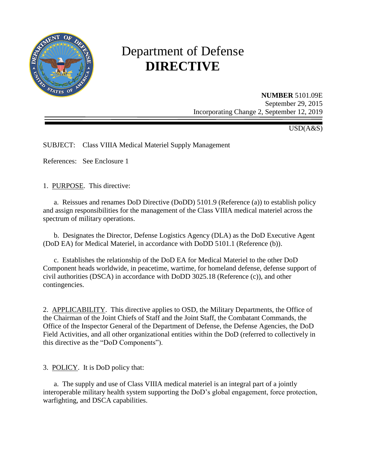

# Department of Defense **DIRECTIVE**

**NUMBER** 5101.09E September 29, 2015 Incorporating Change 2, September 12, 2019

USD(A&S)

SUBJECT: Class VIIIA Medical Materiel Supply Management

References: See Enclosure 1

1. PURPOSE. This directive:

a. Reissues and renames DoD Directive (DoDD) 5101.9 (Reference (a)) to establish policy and assign responsibilities for the management of the Class VIIIA medical materiel across the spectrum of military operations.

b. Designates the Director, Defense Logistics Agency (DLA) as the DoD Executive Agent (DoD EA) for Medical Materiel, in accordance with DoDD 5101.1 (Reference (b)).

c. Establishes the relationship of the DoD EA for Medical Materiel to the other DoD Component heads worldwide, in peacetime, wartime, for homeland defense, defense support of civil authorities (DSCA) in accordance with DoDD 3025.18 (Reference (c)), and other contingencies.

2. APPLICABILITY. This directive applies to OSD, the Military Departments, the Office of the Chairman of the Joint Chiefs of Staff and the Joint Staff, the Combatant Commands, the Office of the Inspector General of the Department of Defense, the Defense Agencies, the DoD Field Activities, and all other organizational entities within the DoD (referred to collectively in this directive as the "DoD Components").

3. POLICY. It is DoD policy that:

a. The supply and use of Class VIIIA medical materiel is an integral part of a jointly interoperable military health system supporting the DoD's global engagement, force protection, warfighting, and DSCA capabilities.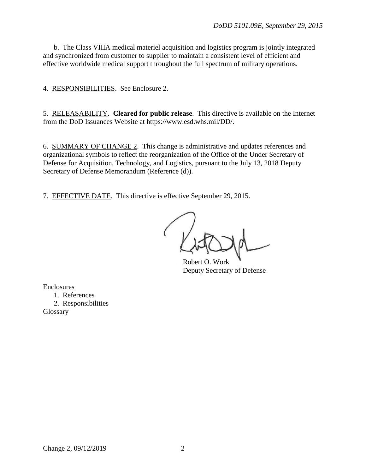b. The Class VIIIA medical materiel acquisition and logistics program is jointly integrated and synchronized from customer to supplier to maintain a consistent level of efficient and effective worldwide medical support throughout the full spectrum of military operations.

4. RESPONSIBILITIES. See Enclosure 2.

5. RELEASABILITY. **Cleared for public release**. This directive is available on the Internet from the DoD Issuances Website at https://www.esd.whs.mil/DD/.

6. SUMMARY OF CHANGE 2. This change is administrative and updates references and organizational symbols to reflect the reorganization of the Office of the Under Secretary of Defense for Acquisition, Technology, and Logistics, pursuant to the July 13, 2018 Deputy Secretary of Defense Memorandum (Reference (d)).

7. EFFECTIVE DATE. This directive is effective September 29, 2015.

Robert O. Work Deputy Secretary of Defense

Enclosures 1. References 2. Responsibilities Glossary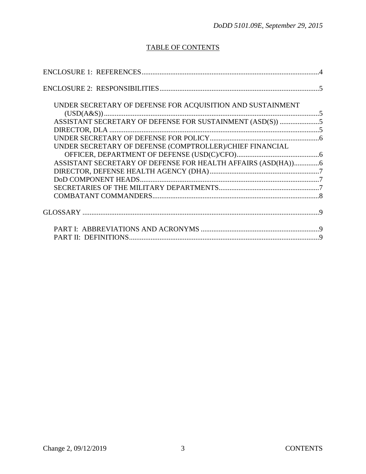## TABLE OF CONTENTS

| UNDER SECRETARY OF DEFENSE FOR ACQUISITION AND SUSTAINMENT   |  |
|--------------------------------------------------------------|--|
|                                                              |  |
| ASSISTANT SECRETARY OF DEFENSE FOR SUSTAINMENT (ASD(S)) 5    |  |
|                                                              |  |
| UNDER SECRETARY OF DEFENSE (COMPTROLLER)/CHIEF FINANCIAL     |  |
|                                                              |  |
| ASSISTANT SECRETARY OF DEFENSE FOR HEALTH AFFAIRS (ASD(HA))6 |  |
|                                                              |  |
|                                                              |  |
|                                                              |  |
|                                                              |  |
|                                                              |  |
|                                                              |  |
|                                                              |  |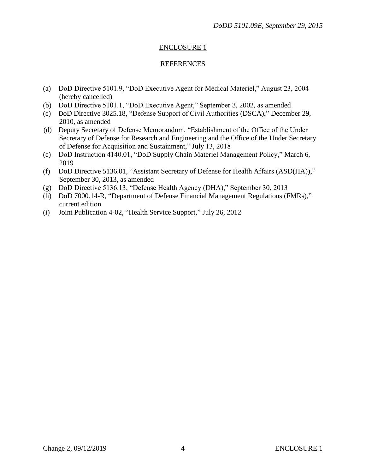### ENCLOSURE 1

#### **REFERENCES**

- (a) DoD Directive 5101.9, "DoD Executive Agent for Medical Materiel," August 23, 2004 (hereby cancelled)
- (b) DoD Directive 5101.1, "DoD Executive Agent," September 3, 2002, as amended
- (c) DoD Directive 3025.18, "Defense Support of Civil Authorities (DSCA)," December 29, 2010, as amended
- (d) Deputy Secretary of Defense Memorandum, "Establishment of the Office of the Under Secretary of Defense for Research and Engineering and the Office of the Under Secretary of Defense for Acquisition and Sustainment," July 13, 2018
- (e) DoD Instruction 4140.01, "DoD Supply Chain Materiel Management Policy," March 6, 2019
- (f) DoD Directive 5136.01, "Assistant Secretary of Defense for Health Affairs (ASD(HA))," September 30, 2013, as amended
- (g) DoD Directive 5136.13, "Defense Health Agency (DHA)," September 30, 2013
- (h) DoD 7000.14-R, "Department of Defense Financial Management Regulations (FMRs)," current edition
- (i) Joint Publication 4-02, "Health Service Support," July 26, 2012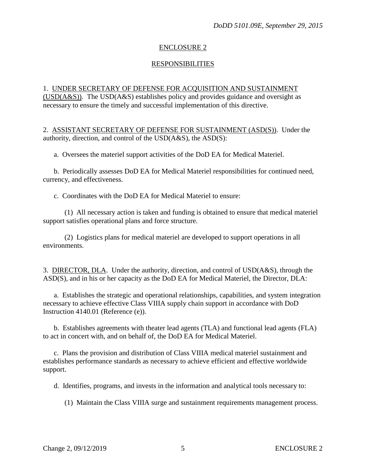#### ENCLOSURE 2

#### **RESPONSIBILITIES**

#### 1. UNDER SECRETARY OF DEFENSE FOR ACQUISITION AND SUSTAINMENT (USD(A&S)). The USD(A&S) establishes policy and provides guidance and oversight as

necessary to ensure the timely and successful implementation of this directive.

2. ASSISTANT SECRETARY OF DEFENSE FOR SUSTAINMENT (ASD(S)). Under the authority, direction, and control of the USD(A&S), the ASD(S):

a. Oversees the materiel support activities of the DoD EA for Medical Materiel.

b. Periodically assesses DoD EA for Medical Materiel responsibilities for continued need, currency, and effectiveness.

c. Coordinates with the DoD EA for Medical Materiel to ensure:

(1) All necessary action is taken and funding is obtained to ensure that medical materiel support satisfies operational plans and force structure.

(2) Logistics plans for medical materiel are developed to support operations in all environments.

3. DIRECTOR, DLA. Under the authority, direction, and control of USD(A&S), through the ASD(S), and in his or her capacity as the DoD EA for Medical Materiel, the Director, DLA:

a. Establishes the strategic and operational relationships, capabilities, and system integration necessary to achieve effective Class VIIIA supply chain support in accordance with DoD Instruction 4140.01 (Reference (e)).

b. Establishes agreements with theater lead agents (TLA) and functional lead agents (FLA) to act in concert with, and on behalf of, the DoD EA for Medical Materiel.

c. Plans the provision and distribution of Class VIIIA medical materiel sustainment and establishes performance standards as necessary to achieve efficient and effective worldwide support.

d. Identifies, programs, and invests in the information and analytical tools necessary to:

(1) Maintain the Class VIIIA surge and sustainment requirements management process.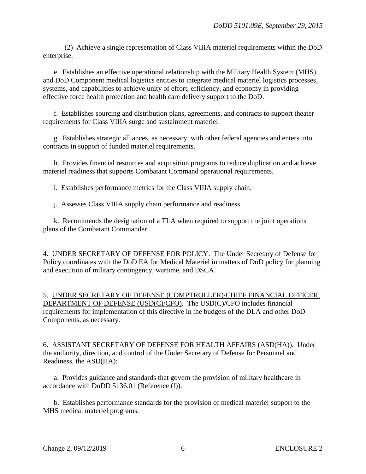(2) Achieve a single representation of Class VIIIA materiel requirements within the DoD enterprise.

e. Establishes an effective operational relationship with the Military Health System (MHS) and DoD Component medical logistics entities to integrate medical materiel logistics processes, systems, and capabilities to achieve unity of effort, efficiency, and economy in providing effective force health protection and health care delivery support to the DoD.

f. Establishes sourcing and distribution plans, agreements, and contracts to support theater requirements for Class VIIIA surge and sustainment materiel.

g. Establishes strategic alliances, as necessary, with other federal agencies and enters into contracts in support of funded materiel requirements.

h. Provides financial resources and acquisition programs to reduce duplication and achieve materiel readiness that supports Combatant Command operational requirements.

i. Establishes performance metrics for the Class VIIIA supply chain.

j. Assesses Class VIIIA supply chain performance and readiness.

k. Recommends the designation of a TLA when required to support the joint operations plans of the Combatant Commander.

4. UNDER SECRETARY OF DEFENSE FOR POLICY. The Under Secretary of Defense for Policy coordinates with the DoD EA for Medical Materiel in matters of DoD policy for planning and execution of military contingency, wartime, and DSCA.

5. UNDER SECRETARY OF DEFENSE (COMPTROLLER)/CHIEF FINANCIAL OFFICER, DEPARTMENT OF DEFENSE (USD(C)/CFO). The USD(C)/CFO includes financial requirements for implementation of this directive in the budgets of the DLA and other DoD Components, as necessary.

6. ASSISTANT SECRETARY OF DEFENSE FOR HEALTH AFFAIRS (ASD(HA)). Under the authority, direction, and control of the Under Secretary of Defense for Personnel and Readiness, the ASD(HA):

a. Provides guidance and standards that govern the provision of military healthcare in accordance with DoDD 5136.01 (Reference (f)).

b. Establishes performance standards for the provision of medical materiel support to the MHS medical materiel programs.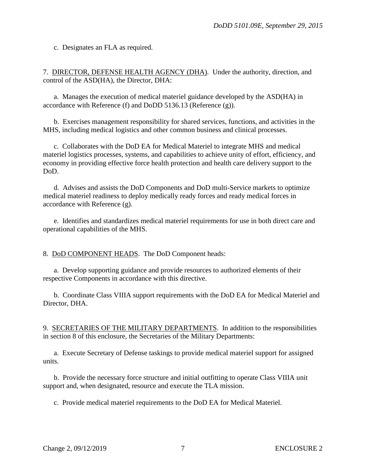c. Designates an FLA as required.

7. DIRECTOR, DEFENSE HEALTH AGENCY (DHA). Under the authority, direction, and control of the ASD(HA), the Director, DHA:

a. Manages the execution of medical materiel guidance developed by the ASD(HA) in accordance with Reference (f) and DoDD 5136.13 (Reference (g)).

b. Exercises management responsibility for shared services, functions, and activities in the MHS, including medical logistics and other common business and clinical processes.

c. Collaborates with the DoD EA for Medical Materiel to integrate MHS and medical materiel logistics processes, systems, and capabilities to achieve unity of effort, efficiency, and economy in providing effective force health protection and health care delivery support to the DoD.

d. Advises and assists the DoD Components and DoD multi-Service markets to optimize medical materiel readiness to deploy medically ready forces and ready medical forces in accordance with Reference (g).

e. Identifies and standardizes medical materiel requirements for use in both direct care and operational capabilities of the MHS.

8. DoD COMPONENT HEADS. The DoD Component heads:

a. Develop supporting guidance and provide resources to authorized elements of their respective Components in accordance with this directive.

b. Coordinate Class VIIIA support requirements with the DoD EA for Medical Materiel and Director, DHA.

9. SECRETARIES OF THE MILITARY DEPARTMENTS. In addition to the responsibilities in section 8 of this enclosure, the Secretaries of the Military Departments:

a. Execute Secretary of Defense taskings to provide medical materiel support for assigned units.

b. Provide the necessary force structure and initial outfitting to operate Class VIIIA unit support and, when designated, resource and execute the TLA mission.

c. Provide medical materiel requirements to the DoD EA for Medical Materiel.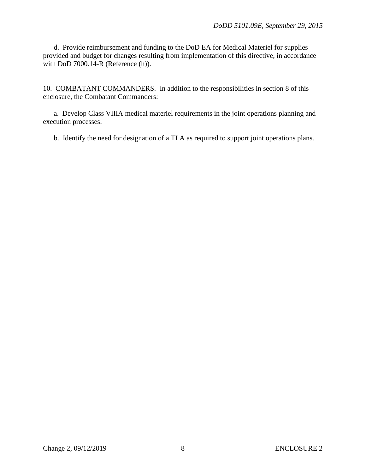d. Provide reimbursement and funding to the DoD EA for Medical Materiel for supplies provided and budget for changes resulting from implementation of this directive, in accordance with  $DoD 7000.14-R$  (Reference  $(h)$ ).

10. COMBATANT COMMANDERS. In addition to the responsibilities in section 8 of this enclosure, the Combatant Commanders:

a. Develop Class VIIIA medical materiel requirements in the joint operations planning and execution processes.

b. Identify the need for designation of a TLA as required to support joint operations plans.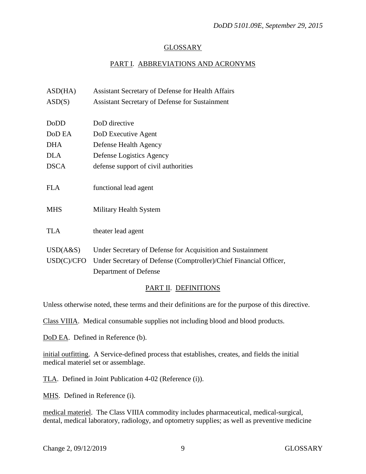#### GLOSSARY

### PART I. ABBREVIATIONS AND ACRONYMS

| ASD(HA)     | Assistant Secretary of Defense for Health Affairs                 |
|-------------|-------------------------------------------------------------------|
| ASD(S)      | <b>Assistant Secretary of Defense for Sustainment</b>             |
|             |                                                                   |
| DoDD        | DoD directive                                                     |
| DoD EA      | DoD Executive Agent                                               |
| <b>DHA</b>  | Defense Health Agency                                             |
| <b>DLA</b>  | Defense Logistics Agency                                          |
| <b>DSCA</b> | defense support of civil authorities                              |
|             |                                                                   |
| <b>FLA</b>  | functional lead agent                                             |
|             |                                                                   |
| <b>MHS</b>  | Military Health System                                            |
|             |                                                                   |
| <b>TLA</b>  | theater lead agent                                                |
| USD(A&S)    | Under Secretary of Defense for Acquisition and Sustainment        |
| USD(C)/CFO  | Under Secretary of Defense (Comptroller)/Chief Financial Officer, |
|             | Department of Defense                                             |
|             |                                                                   |

#### PART II. DEFINITIONS

Unless otherwise noted, these terms and their definitions are for the purpose of this directive.

Class VIIIA. Medical consumable supplies not including blood and blood products.

DoD EA. Defined in Reference (b).

initial outfitting. A Service-defined process that establishes, creates, and fields the initial medical materiel set or assemblage.

TLA. Defined in Joint Publication 4-02 (Reference (i)).

MHS. Defined in Reference (i).

medical materiel. The Class VIIIA commodity includes pharmaceutical, medical-surgical, dental, medical laboratory, radiology, and optometry supplies; as well as preventive medicine